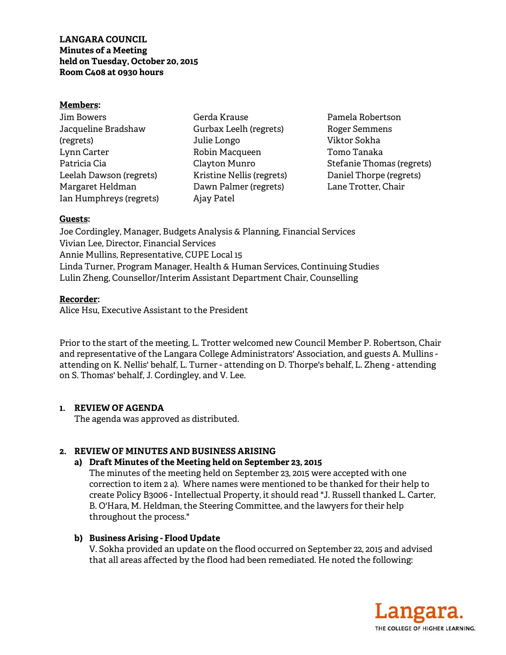**LANGARA COUNCIL Minutes of a Meeting held on Tuesday, October 20, 2015 Room C408 at 0930 hours** 

### **Members:**

| Jim Bowers              |
|-------------------------|
| Jacqueline Bradshaw     |
| (regrets)               |
| Lynn Carter             |
| Patricia Cia            |
| Leelah Dawson (regrets) |
| Margaret Heldman        |
| Ian Humphreys (regrets) |

Gerda Krause Gurbax Leelh (regrets) Julie Longo Robin Macqueen Clayton Munro Kristine Nellis (regrets) Dawn Palmer (regrets) Ajay Patel

Pamela Robertson Roger Semmens Viktor Sokha Tomo Tanaka Stefanie Thomas (regrets) Daniel Thorpe (regrets) Lane Trotter, Chair

### **Guests:**

Joe Cordingley, Manager, Budgets Analysis & Planning, Financial Services Vivian Lee, Director, Financial Services Annie Mullins, Representative, CUPE Local 15 Linda Turner, Program Manager, Health & Human Services, Continuing Studies Lulin Zheng, Counsellor/Interim Assistant Department Chair, Counselling

### **Recorder:**

Alice Hsu, Executive Assistant to the President

Prior to the start of the meeting, L. Trotter welcomed new Council Member P. Robertson, Chair and representative of the Langara College Administrators' Association, and guests A. Mullins attending on K. Nellis' behalf, L. Turner - attending on D. Thorpe's behalf, L. Zheng - attending on S. Thomas' behalf, J. Cordingley, and V. Lee.

### **1. REVIEW OF AGENDA**

The agenda was approved as distributed.

# **2. REVIEW OF MINUTES AND BUSINESS ARISING**

# **a) Draft Minutes of the Meeting held on September 23, 2015**

The minutes of the meeting held on September 23, 2015 were accepted with one correction to item 2 a). Where names were mentioned to be thanked for their help to create Policy B3006 - Intellectual Property, it should read "J. Russell thanked L. Carter, B. O'Hara, M. Heldman, the Steering Committee, and the lawyers for their help throughout the process."

# **b) Business Arising - Flood Update**

V. Sokha provided an update on the flood occurred on September 22, 2015 and advised that all areas affected by the flood had been remediated. He noted the following:

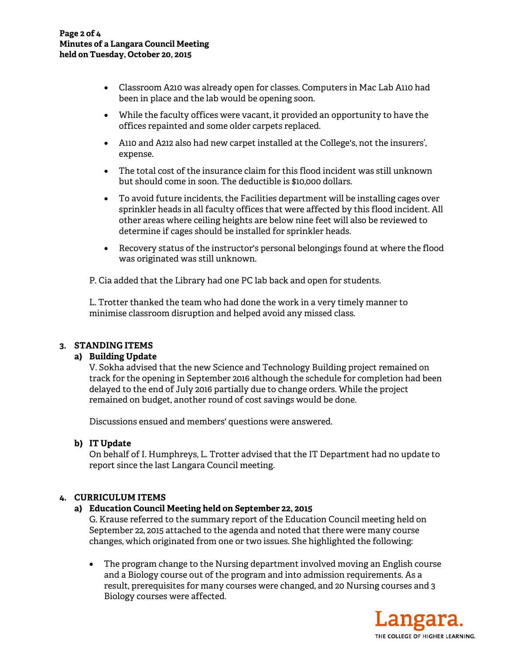- Classroom A210 was already open for classes. Computers in Mac Lab A110 had been in place and the lab would be opening soon.
- While the faculty offices were vacant, it provided an opportunity to have the offices repainted and some older carpets replaced.
- A110 and A212 also had new carpet installed at the College's, not the insurers', expense.
- The total cost of the insurance claim for this flood incident was still unknown but should come in soon. The deductible is \$10,000 dollars.
- To avoid future incidents, the Facilities department will be installing cages over sprinkler heads in all faculty offices that were affected by this flood incident. All other areas where ceiling heights are below nine feet will also be reviewed to determine if cages should be installed for sprinkler heads.
- Recovery status of the instructor's personal belongings found at where the flood was originated was still unknown.

P. Cia added that the Library had one PC lab back and open for students.

L. Trotter thanked the team who had done the work in a very timely manner to minimise classroom disruption and helped avoid any missed class.

# **3. STANDING ITEMS**

# **a) Building Update**

V. Sokha advised that the new Science and Technology Building project remained on track for the opening in September 2016 although the schedule for completion had been delayed to the end of July 2016 partially due to change orders. While the project remained on budget, another round of cost savings would be done.

Discussions ensued and members' questions were answered.

# **b) IT Update**

On behalf of I. Humphreys, L. Trotter advised that the IT Department had no update to report since the last Langara Council meeting.

# **4. CURRICULUM ITEMS**

# **a) Education Council Meeting held on September 22, 2015**

G. Krause referred to the summary report of the Education Council meeting held on September 22, 2015 attached to the agenda and noted that there were many course changes, which originated from one or two issues. She highlighted the following:

• The program change to the Nursing department involved moving an English course and a Biology course out of the program and into admission requirements. As a result, prerequisites for many courses were changed, and 20 Nursing courses and 3 Biology courses were affected.

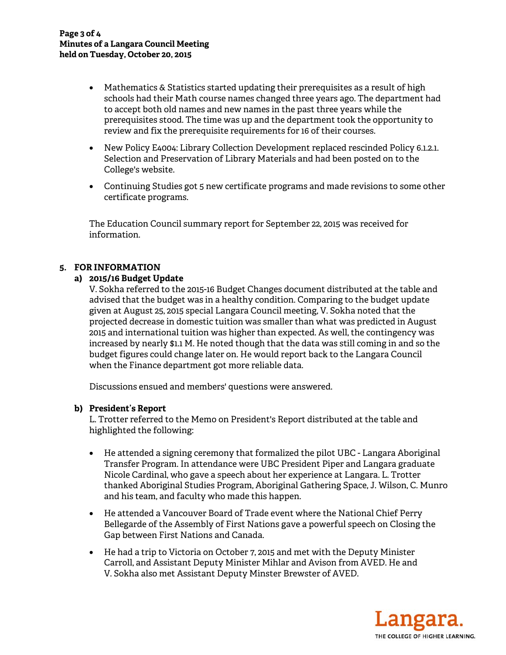- Mathematics & Statistics started updating their prerequisites as a result of high schools had their Math course names changed three years ago. The department had to accept both old names and new names in the past three years while the prerequisites stood. The time was up and the department took the opportunity to review and fix the prerequisite requirements for 16 of their courses.
- New Policy E4004: Library Collection Development replaced rescinded Policy 6.1.2.1. Selection and Preservation of Library Materials and had been posted on to the College's website.
- Continuing Studies got 5 new certificate programs and made revisions to some other certificate programs.

The Education Council summary report for September 22, 2015 was received for information.

# **5. FOR INFORMATION**

### **a) 2015/16 Budget Update**

V. Sokha referred to the 2015-16 Budget Changes document distributed at the table and advised that the budget was in a healthy condition. Comparing to the budget update given at August 25, 2015 special Langara Council meeting, V. Sokha noted that the projected decrease in domestic tuition was smaller than what was predicted in August 2015 and international tuition was higher than expected. As well, the contingency was increased by nearly \$1.1 M. He noted though that the data was still coming in and so the budget figures could change later on. He would report back to the Langara Council when the Finance department got more reliable data.

Discussions ensued and members' questions were answered.

### **b) President's Report**

L. Trotter referred to the Memo on President's Report distributed at the table and highlighted the following:

- He attended a signing ceremony that formalized the pilot UBC Langara Aboriginal Transfer Program. In attendance were UBC President Piper and Langara graduate Nicole Cardinal, who gave a speech about her experience at Langara. L. Trotter thanked Aboriginal Studies Program, Aboriginal Gathering Space, J. Wilson, C. Munro and his team, and faculty who made this happen.
- He attended a Vancouver Board of Trade event where the National Chief Perry Bellegarde of the Assembly of First Nations gave a powerful speech on Closing the Gap between First Nations and Canada.
- He had a trip to Victoria on October 7, 2015 and met with the Deputy Minister Carroll, and Assistant Deputy Minister Mihlar and Avison from AVED. He and V. Sokha also met Assistant Deputy Minster Brewster of AVED.